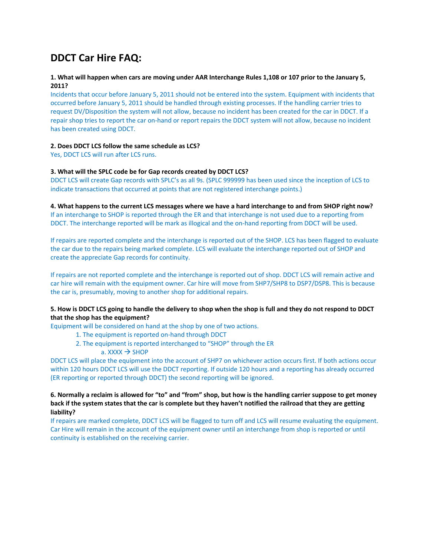# **DDCT Car Hire FAQ:**

# 1. What will happen when cars are moving under AAR Interchange Rules 1,108 or 107 prior to the January 5, **2011?**

Incidents that occur before January 5, 2011 should not be entered into the system. Equipment with incidents that occurred before January 5, 2011 should be handled through existing processes. If the handling carrier tries to request DV/Disposition the system will not allow, because no incident has been created for the car in DDCT. If a repair shop tries to report the car on‐hand or report repairs the DDCT system will not allow, because no incident has been created using DDCT.

#### **2. Does DDCT LCS follow the same schedule as LCS?**

Yes, DDCT LCS will run after LCS runs.

# **3. What will the SPLC code be for Gap records created by DDCT LCS?**

DDCT LCS will create Gap records with SPLC's as all 9s. (SPLC 999999 has been used since the inception of LCS to indicate transactions that occurred at points that are not registered interchange points.)

#### 4. What happens to the current LCS messages where we have a hard interchange to and from SHOP right now? If an interchange to SHOP is reported through the ER and that interchange is not used due to a reporting from DDCT. The interchange reported will be mark as illogical and the on-hand reporting from DDCT will be used.

If repairs are reported complete and the interchange is reported out of the SHOP. LCS has been flagged to evaluate the car due to the repairs being marked complete. LCS will evaluate the interchange reported out of SHOP and create the appreciate Gap records for continuity.

If repairs are not reported complete and the interchange is reported out of shop. DDCT LCS will remain active and car hire will remain with the equipment owner. Car hire will move from SHP7/SHP8 to DSP7/DSP8. This is because the car is, presumably, moving to another shop for additional repairs.

# 5. How is DDCT LCS going to handle the delivery to shop when the shop is full and they do not respond to DDCT **that the shop has the equipment?**

Equipment will be considered on hand at the shop by one of two actions.

- 1. The equipment is reported on‐hand through DDCT
- 2. The equipment is reported interchanged to "SHOP" through the ER
	- $a.$  XXXX  $\rightarrow$  SHOP

DDCT LCS will place the equipment into the account of SHP7 on whichever action occurs first. If both actions occur within 120 hours DDCT LCS will use the DDCT reporting. If outside 120 hours and a reporting has already occurred (ER reporting or reported through DDCT) the second reporting will be ignored.

# 6. Normally a reclaim is allowed for "to" and "from" shop, but how is the handling carrier suppose to get money back if the system states that the car is complete but they haven't notified the railroad that they are getting **liability?**

If repairs are marked complete, DDCT LCS will be flagged to turn off and LCS will resume evaluating the equipment. Car Hire will remain in the account of the equipment owner until an interchange from shop is reported or until continuity is established on the receiving carrier.